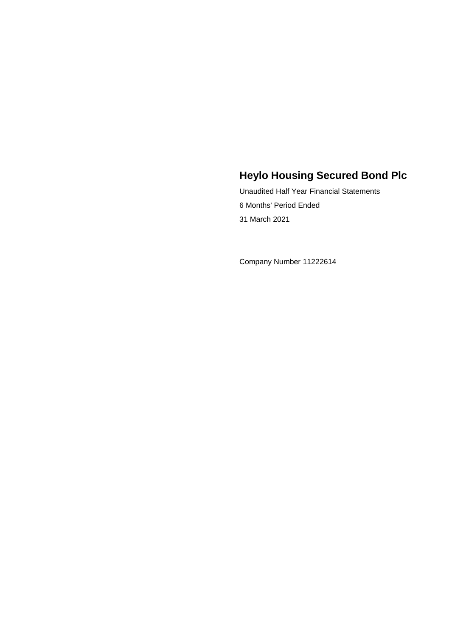Unaudited Half Year Financial Statements 6 Months' Period Ended 31 March 2021

Company Number 11222614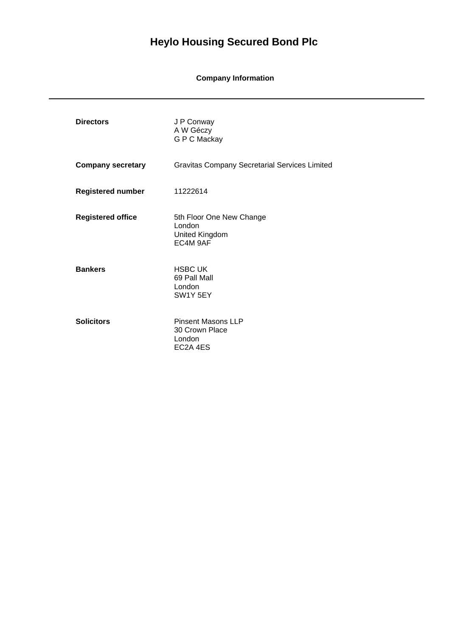**Company Information**

| <b>Directors</b>         | J P Conway<br>A W Géczy<br>G P C Mackay                           |
|--------------------------|-------------------------------------------------------------------|
| <b>Company secretary</b> | <b>Gravitas Company Secretarial Services Limited</b>              |
| <b>Registered number</b> | 11222614                                                          |
| <b>Registered office</b> | 5th Floor One New Change<br>London<br>United Kingdom<br>EC4M 9AF  |
| <b>Bankers</b>           | <b>HSBC UK</b><br>69 Pall Mall<br>London<br>SW1Y 5EY              |
| <b>Solicitors</b>        | <b>Pinsent Masons LLP</b><br>30 Crown Place<br>London<br>EC2A 4ES |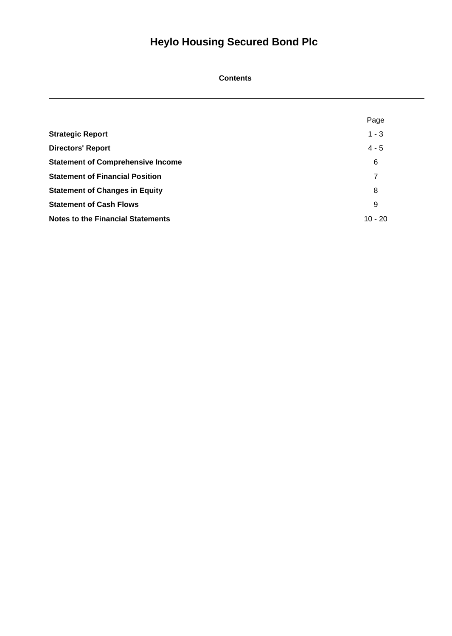# **Contents**

|                                          | Page      |
|------------------------------------------|-----------|
| <b>Strategic Report</b>                  | $1 - 3$   |
| <b>Directors' Report</b>                 | $4 - 5$   |
| <b>Statement of Comprehensive Income</b> | 6         |
| <b>Statement of Financial Position</b>   | 7         |
| <b>Statement of Changes in Equity</b>    | 8         |
| <b>Statement of Cash Flows</b>           | 9         |
| <b>Notes to the Financial Statements</b> | $10 - 20$ |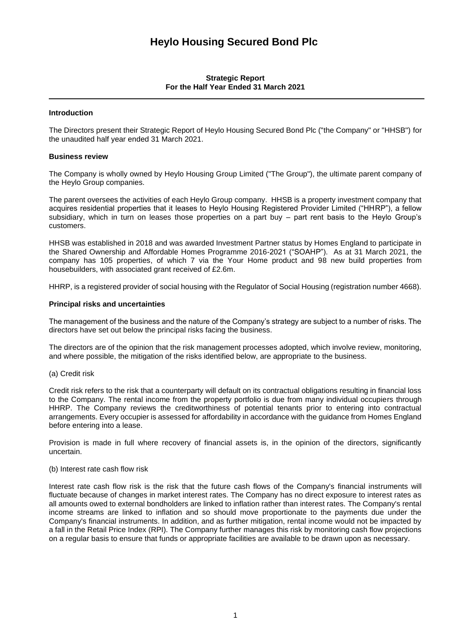# **Strategic Report For the Half Year Ended 31 March 2021**

# **Introduction**

The Directors present their Strategic Report of Heylo Housing Secured Bond Plc ("the Company" or "HHSB") for the unaudited half year ended 31 March 2021.

#### **Business review**

The Company is wholly owned by Heylo Housing Group Limited ("The Group"), the ultimate parent company of the Heylo Group companies.

The parent oversees the activities of each Heylo Group company. HHSB is a property investment company that acquires residential properties that it leases to Heylo Housing Registered Provider Limited ("HHRP"), a fellow subsidiary, which in turn on leases those properties on a part buy – part rent basis to the Heylo Group's customers.

HHSB was established in 2018 and was awarded Investment Partner status by Homes England to participate in the Shared Ownership and Affordable Homes Programme 2016-2021 ("SOAHP"). As at 31 March 2021, the company has 105 properties, of which 7 via the Your Home product and 98 new build properties from housebuilders, with associated grant received of £2.6m.

HHRP, is a registered provider of social housing with the Regulator of Social Housing (registration number 4668).

#### **Principal risks and uncertainties**

The management of the business and the nature of the Company's strategy are subject to a number of risks. The directors have set out below the principal risks facing the business.

The directors are of the opinion that the risk management processes adopted, which involve review, monitoring, and where possible, the mitigation of the risks identified below, are appropriate to the business.

(a) Credit risk

Credit risk refers to the risk that a counterparty will default on its contractual obligations resulting in financial loss to the Company. The rental income from the property portfolio is due from many individual occupiers through HHRP. The Company reviews the creditworthiness of potential tenants prior to entering into contractual arrangements. Every occupier is assessed for affordability in accordance with the guidance from Homes England before entering into a lease.

Provision is made in full where recovery of financial assets is, in the opinion of the directors, significantly uncertain.

#### (b) Interest rate cash flow risk

Interest rate cash flow risk is the risk that the future cash flows of the Company's financial instruments will fluctuate because of changes in market interest rates. The Company has no direct exposure to interest rates as all amounts owed to external bondholders are linked to inflation rather than interest rates. The Company's rental income streams are linked to inflation and so should move proportionate to the payments due under the Company's financial instruments. In addition, and as further mitigation, rental income would not be impacted by a fall in the Retail Price Index (RPI). The Company further manages this risk by monitoring cash flow projections on a regular basis to ensure that funds or appropriate facilities are available to be drawn upon as necessary.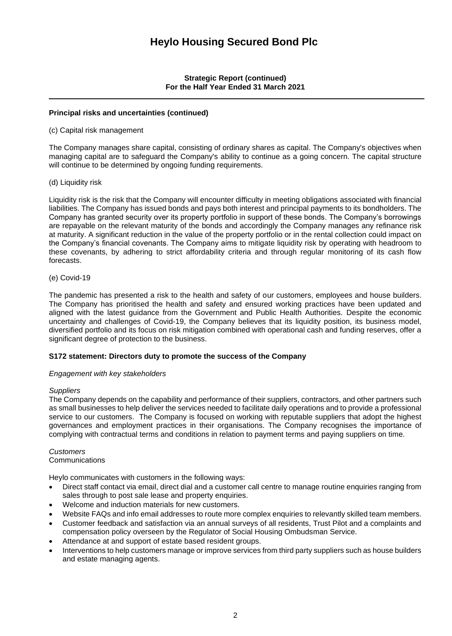**Strategic Report (continued) For the Half Year Ended 31 March 2021**

# **Principal risks and uncertainties (continued)**

(c) Capital risk management

The Company manages share capital, consisting of ordinary shares as capital. The Company's objectives when managing capital are to safeguard the Company's ability to continue as a going concern. The capital structure will continue to be determined by ongoing funding requirements.

# (d) Liquidity risk

Liquidity risk is the risk that the Company will encounter difficulty in meeting obligations associated with financial liabilities. The Company has issued bonds and pays both interest and principal payments to its bondholders. The Company has granted security over its property portfolio in support of these bonds. The Company's borrowings are repayable on the relevant maturity of the bonds and accordingly the Company manages any refinance risk at maturity. A significant reduction in the value of the property portfolio or in the rental collection could impact on the Company's financial covenants. The Company aims to mitigate liquidity risk by operating with headroom to these covenants, by adhering to strict affordability criteria and through regular monitoring of its cash flow forecasts.

# (e) Covid-19

The pandemic has presented a risk to the health and safety of our customers, employees and house builders. The Company has prioritised the health and safety and ensured working practices have been updated and aligned with the latest guidance from the Government and Public Health Authorities. Despite the economic uncertainty and challenges of Covid-19, the Company believes that its liquidity position, its business model, diversified portfolio and its focus on risk mitigation combined with operational cash and funding reserves, offer a significant degree of protection to the business.

# **S172 statement: Directors duty to promote the success of the Company**

### *Engagement with key stakeholders*

### *Suppliers*

The Company depends on the capability and performance of their suppliers, contractors, and other partners such as small businesses to help deliver the services needed to facilitate daily operations and to provide a professional service to our customers. The Company is focused on working with reputable suppliers that adopt the highest governances and employment practices in their organisations. The Company recognises the importance of complying with contractual terms and conditions in relation to payment terms and paying suppliers on time.

#### *Customers* **Communications**

Heylo communicates with customers in the following ways:

- Direct staff contact via email, direct dial and a customer call centre to manage routine enquiries ranging from sales through to post sale lease and property enquiries.
- Welcome and induction materials for new customers.
- Website FAQs and info email addresses to route more complex enquiries to relevantly skilled team members.
- Customer feedback and satisfaction via an annual surveys of all residents, Trust Pilot and a complaints and compensation policy overseen by the Regulator of Social Housing Ombudsman Service.
- Attendance at and support of estate based resident groups.
- Interventions to help customers manage or improve services from third party suppliers such as house builders and estate managing agents.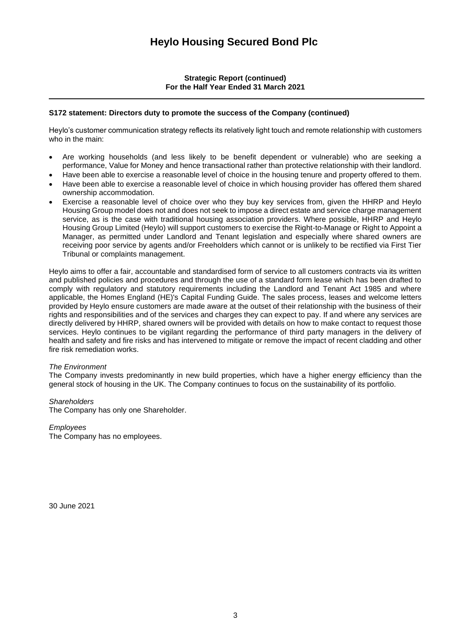**Strategic Report (continued) For the Half Year Ended 31 March 2021**

# **S172 statement: Directors duty to promote the success of the Company (continued)**

Heylo's customer communication strategy reflects its relatively light touch and remote relationship with customers who in the main:

- Are working households (and less likely to be benefit dependent or vulnerable) who are seeking a performance, Value for Money and hence transactional rather than protective relationship with their landlord.
- Have been able to exercise a reasonable level of choice in the housing tenure and property offered to them.
- Have been able to exercise a reasonable level of choice in which housing provider has offered them shared ownership accommodation.
- Exercise a reasonable level of choice over who they buy key services from, given the HHRP and Heylo Housing Group model does not and does not seek to impose a direct estate and service charge management service, as is the case with traditional housing association providers. Where possible, HHRP and Heylo Housing Group Limited (Heylo) will support customers to exercise the Right-to-Manage or Right to Appoint a Manager, as permitted under Landlord and Tenant legislation and especially where shared owners are receiving poor service by agents and/or Freeholders which cannot or is unlikely to be rectified via First Tier Tribunal or complaints management.

Heylo aims to offer a fair, accountable and standardised form of service to all customers contracts via its written and published policies and procedures and through the use of a standard form lease which has been drafted to comply with regulatory and statutory requirements including the Landlord and Tenant Act 1985 and where applicable, the Homes England (HE)'s Capital Funding Guide. The sales process, leases and welcome letters provided by Heylo ensure customers are made aware at the outset of their relationship with the business of their rights and responsibilities and of the services and charges they can expect to pay. If and where any services are directly delivered by HHRP, shared owners will be provided with details on how to make contact to request those services. Heylo continues to be vigilant regarding the performance of third party managers in the delivery of health and safety and fire risks and has intervened to mitigate or remove the impact of recent cladding and other fire risk remediation works.

### *The Environment*

The Company invests predominantly in new build properties, which have a higher energy efficiency than the general stock of housing in the UK. The Company continues to focus on the sustainability of its portfolio.

### *Shareholders*

The Company has only one Shareholder.

# *Employees*

The Company has no employees.

30 June 2021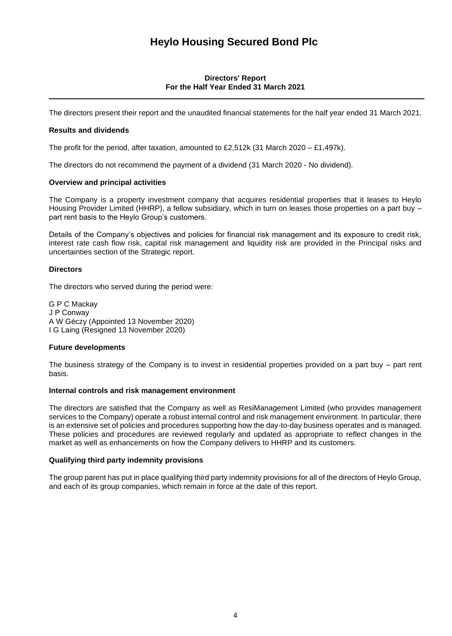# **Directors' Report For the Half Year Ended 31 March 2021**

The directors present their report and the unaudited financial statements for the half year ended 31 March 2021.

# **Results and dividends**

The profit for the period, after taxation, amounted to £2,512k (31 March 2020 – £1,497k).

The directors do not recommend the payment of a dividend (31 March 2020 - No dividend).

# **Overview and principal activities**

The Company is a property investment company that acquires residential properties that it leases to Heylo Housing Provider Limited (HHRP), a fellow subsidiary, which in turn on leases those properties on a part buy – part rent basis to the Heylo Group's customers.

Details of the Company's objectives and policies for financial risk management and its exposure to credit risk, interest rate cash flow risk, capital risk management and liquidity risk are provided in the Principal risks and uncertainties section of the Strategic report.

# **Directors**

The directors who served during the period were:

G P C Mackay J P Conway A W Géczy (Appointed 13 November 2020) I G Laing (Resigned 13 November 2020)

# **Future developments**

The business strategy of the Company is to invest in residential properties provided on a part buy – part rent basis.

### **Internal controls and risk management environment**

The directors are satisfied that the Company as well as ResiManagement Limited (who provides management services to the Company) operate a robust internal control and risk management environment. In particular, there is an extensive set of policies and procedures supporting how the day-to-day business operates and is managed. These policies and procedures are reviewed regularly and updated as appropriate to reflect changes in the market as well as enhancements on how the Company delivers to HHRP and its customers.

### **Qualifying third party indemnity provisions**

The group parent has put in place qualifying third party indemnity provisions for all of the directors of Heylo Group, and each of its group companies, which remain in force at the date of this report.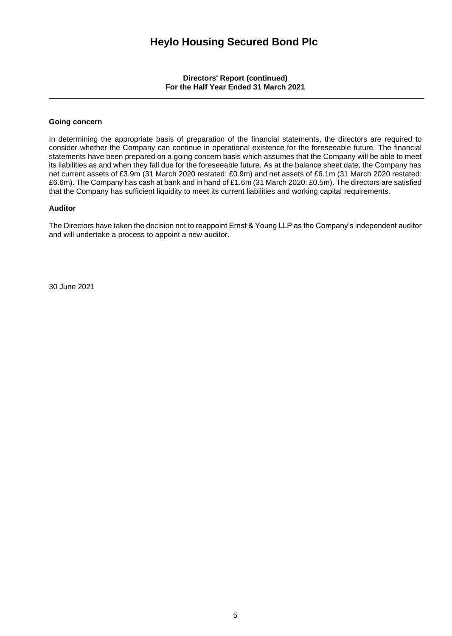**Directors' Report (continued) For the Half Year Ended 31 March 2021**

# **Going concern**

In determining the appropriate basis of preparation of the financial statements, the directors are required to consider whether the Company can continue in operational existence for the foreseeable future. The financial statements have been prepared on a going concern basis which assumes that the Company will be able to meet its liabilities as and when they fall due for the foreseeable future. As at the balance sheet date, the Company has net current assets of £3.9m (31 March 2020 restated: £0.9m) and net assets of £6.1m (31 March 2020 restated: £6.6m). The Company has cash at bank and in hand of £1.6m (31 March 2020: £0.5m). The directors are satisfied that the Company has sufficient liquidity to meet its current liabilities and working capital requirements.

### **Auditor**

The Directors have taken the decision not to reappoint Ernst & Young LLP as the Company's independent auditor and will undertake a process to appoint a new auditor.

30 June 2021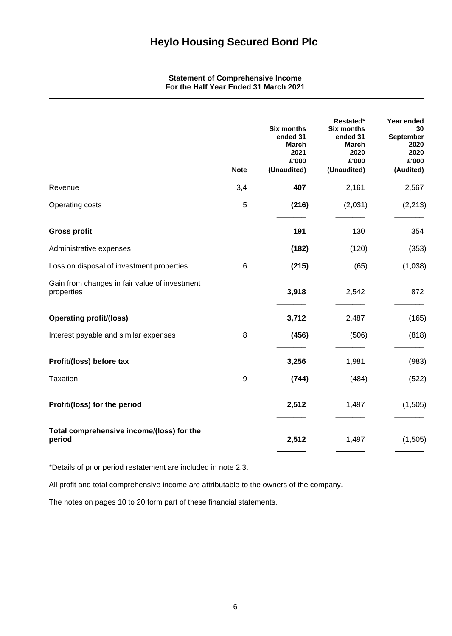**Statement of Comprehensive Income For the Half Year Ended 31 March 2021**

|                                                             | <b>Note</b> | <b>Six months</b><br>ended 31<br><b>March</b><br>2021<br>£'000<br>(Unaudited) | Restated*<br><b>Six months</b><br>ended 31<br><b>March</b><br>2020<br>£'000<br>(Unaudited) | Year ended<br>30<br>September<br>2020<br>2020<br>£'000<br>(Audited) |
|-------------------------------------------------------------|-------------|-------------------------------------------------------------------------------|--------------------------------------------------------------------------------------------|---------------------------------------------------------------------|
| Revenue                                                     | 3,4         | 407                                                                           | 2,161                                                                                      | 2,567                                                               |
| Operating costs                                             | 5           | (216)                                                                         | (2,031)                                                                                    | (2, 213)                                                            |
| <b>Gross profit</b>                                         |             | 191                                                                           | 130                                                                                        | 354                                                                 |
| Administrative expenses                                     |             | (182)                                                                         | (120)                                                                                      | (353)                                                               |
| Loss on disposal of investment properties                   | 6           | (215)                                                                         | (65)                                                                                       | (1,038)                                                             |
| Gain from changes in fair value of investment<br>properties |             | 3,918                                                                         | 2,542                                                                                      | 872                                                                 |
| <b>Operating profit/(loss)</b>                              |             | 3,712                                                                         | 2,487                                                                                      | (165)                                                               |
| Interest payable and similar expenses                       | 8           | (456)                                                                         | (506)                                                                                      | (818)                                                               |
| Profit/(loss) before tax                                    |             | 3,256                                                                         | 1,981                                                                                      | (983)                                                               |
| <b>Taxation</b>                                             | 9           | (744)                                                                         | (484)                                                                                      | (522)                                                               |
| Profit/(loss) for the period                                |             | 2,512                                                                         | 1,497                                                                                      | (1,505)                                                             |
| Total comprehensive income/(loss) for the<br>period         |             | 2,512                                                                         | 1,497                                                                                      | (1, 505)                                                            |

\*Details of prior period restatement are included in note 2.3.

All profit and total comprehensive income are attributable to the owners of the company.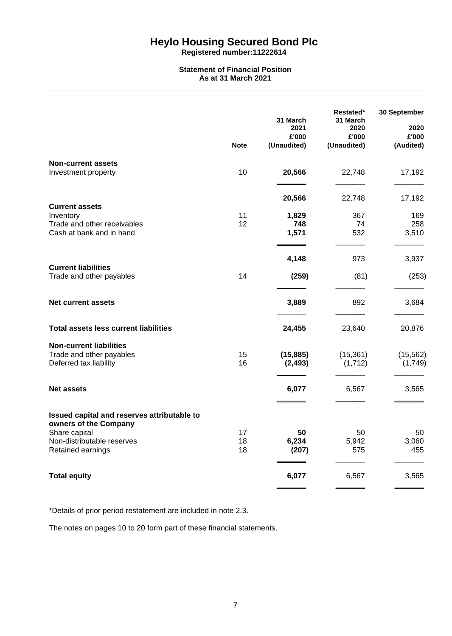**Registered number:11222614**

## **Statement of Financial Position As at 31 March 2021**

|                                                                                                                                          | <b>Note</b>    | 31 March<br>2021<br>£'000<br>(Unaudited) | Restated*<br>31 March<br>2020<br>£'000<br>(Unaudited) | 30 September<br>2020<br>£'000<br>(Audited) |
|------------------------------------------------------------------------------------------------------------------------------------------|----------------|------------------------------------------|-------------------------------------------------------|--------------------------------------------|
| <b>Non-current assets</b><br>Investment property                                                                                         | 10             | 20,566                                   | 22,748                                                | 17,192                                     |
| <b>Current assets</b><br>Inventory<br>Trade and other receivables<br>Cash at bank and in hand                                            | 11<br>12       | 20,566<br>1,829<br>748<br>1,571          | 22,748<br>367<br>74<br>532                            | 17,192<br>169<br>258<br>3,510              |
| <b>Current liabilities</b><br>Trade and other payables                                                                                   | 14             | 4,148<br>(259)                           | 973<br>(81)                                           | 3,937<br>(253)                             |
| <b>Net current assets</b>                                                                                                                |                | 3,889                                    | 892                                                   | 3,684                                      |
| <b>Total assets less current liabilities</b>                                                                                             |                | 24,455                                   | 23,640                                                | 20,876                                     |
| <b>Non-current liabilities</b><br>Trade and other payables<br>Deferred tax liability                                                     | 15<br>16       | (15, 885)<br>(2, 493)                    | (15, 361)<br>(1, 712)                                 | (15, 562)<br>(1,749)                       |
| <b>Net assets</b>                                                                                                                        |                | 6,077                                    | 6,567                                                 | 3,565                                      |
| Issued capital and reserves attributable to<br>owners of the Company<br>Share capital<br>Non-distributable reserves<br>Retained earnings | 17<br>18<br>18 | 50<br>6,234<br>(207)                     | 50<br>5,942<br>575                                    | 50<br>3,060<br>455                         |
| <b>Total equity</b>                                                                                                                      |                | 6,077                                    | 6,567                                                 | 3,565                                      |

\*Details of prior period restatement are included in note 2.3.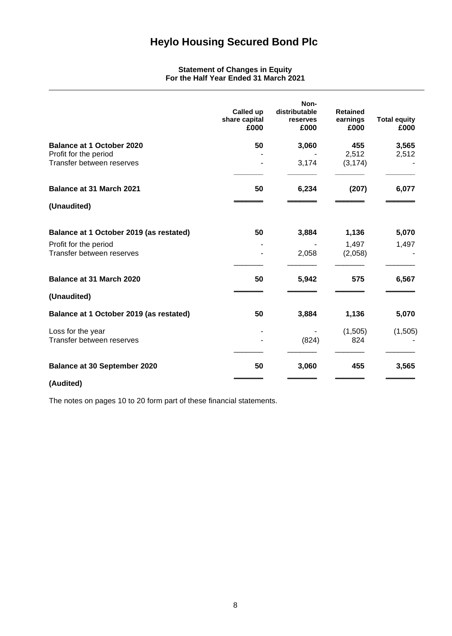# **Statement of Changes in Equity For the Half Year Ended 31 March 2021**

|                                                                                        | Called up<br>share capital<br>£000 | Non-<br>distributable<br>reserves<br>£000 | <b>Retained</b><br>earnings<br>£000 | <b>Total equity</b><br>£000 |
|----------------------------------------------------------------------------------------|------------------------------------|-------------------------------------------|-------------------------------------|-----------------------------|
| <b>Balance at 1 October 2020</b><br>Profit for the period<br>Transfer between reserves | 50                                 | 3,060<br>3,174                            | 455<br>2,512<br>(3, 174)            | 3,565<br>2,512              |
|                                                                                        |                                    |                                           |                                     |                             |
| <b>Balance at 31 March 2021</b>                                                        | 50                                 | 6,234                                     | (207)                               | 6,077                       |
| (Unaudited)                                                                            |                                    |                                           |                                     |                             |
| Balance at 1 October 2019 (as restated)                                                | 50                                 | 3,884                                     | 1,136                               | 5,070                       |
| Profit for the period<br>Transfer between reserves                                     |                                    | 2,058                                     | 1,497<br>(2,058)                    | 1,497                       |
| Balance at 31 March 2020                                                               | 50                                 | 5,942                                     | 575                                 | 6,567                       |
| (Unaudited)                                                                            |                                    |                                           |                                     |                             |
| Balance at 1 October 2019 (as restated)                                                | 50                                 | 3,884                                     | 1,136                               | 5,070                       |
| Loss for the year<br>Transfer between reserves                                         |                                    | (824)                                     | (1,505)<br>824                      | (1,505)                     |
| <b>Balance at 30 September 2020</b>                                                    | 50                                 | 3,060                                     | 455                                 | 3,565                       |
|                                                                                        |                                    |                                           |                                     |                             |

**(Audited)**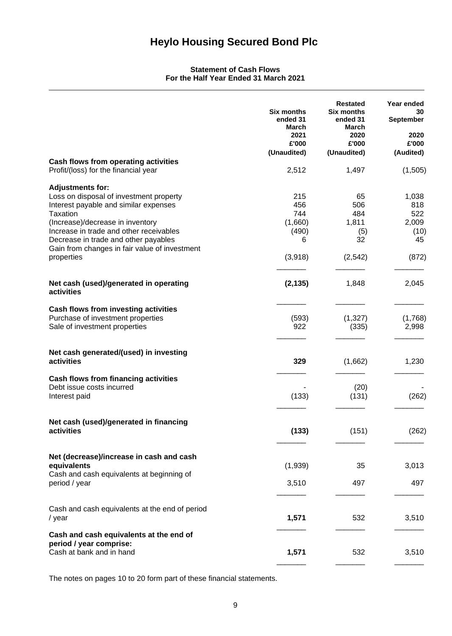# **Statement of Cash Flows For the Half Year Ended 31 March 2021**

|                                                                                                                                                                                                                                                                                                 | Six months<br>ended 31<br><b>March</b><br>2021<br>£'000<br>(Unaudited) | <b>Restated</b><br><b>Six months</b><br>ended 31<br><b>March</b><br>2020<br>£'000<br>(Unaudited) | Year ended<br>30<br>September<br>2020<br>£'000<br>(Audited) |
|-------------------------------------------------------------------------------------------------------------------------------------------------------------------------------------------------------------------------------------------------------------------------------------------------|------------------------------------------------------------------------|--------------------------------------------------------------------------------------------------|-------------------------------------------------------------|
| Cash flows from operating activities<br>Profit/(loss) for the financial year                                                                                                                                                                                                                    | 2,512                                                                  | 1,497                                                                                            | (1,505)                                                     |
| <b>Adjustments for:</b><br>Loss on disposal of investment property<br>Interest payable and similar expenses<br>Taxation<br>(Increase)/decrease in inventory<br>Increase in trade and other receivables<br>Decrease in trade and other payables<br>Gain from changes in fair value of investment | 215<br>456<br>744<br>(1,660)<br>(490)<br>6                             | 65<br>506<br>484<br>1,811<br>(5)<br>32                                                           | 1,038<br>818<br>522<br>2,009<br>(10)<br>45                  |
| properties                                                                                                                                                                                                                                                                                      | (3,918)                                                                | (2, 542)                                                                                         | (872)                                                       |
| Net cash (used)/generated in operating<br>activities                                                                                                                                                                                                                                            | (2, 135)                                                               | 1,848                                                                                            | 2,045                                                       |
| Cash flows from investing activities<br>Purchase of investment properties<br>Sale of investment properties                                                                                                                                                                                      | (593)<br>922                                                           | (1, 327)<br>(335)                                                                                | (1,768)<br>2,998                                            |
| Net cash generated/(used) in investing<br>activities                                                                                                                                                                                                                                            | 329                                                                    | (1,662)                                                                                          | 1,230                                                       |
| Cash flows from financing activities<br>Debt issue costs incurred<br>Interest paid                                                                                                                                                                                                              | (133)                                                                  | (20)<br>(131)                                                                                    | (262)                                                       |
| Net cash (used)/generated in financing<br>activities                                                                                                                                                                                                                                            | (133)                                                                  | (151)                                                                                            | (262)                                                       |
| Net (decrease)/increase in cash and cash<br>equivalents                                                                                                                                                                                                                                         | (1,939)                                                                | 35                                                                                               | 3,013                                                       |
| Cash and cash equivalents at beginning of<br>period / year                                                                                                                                                                                                                                      | 3,510                                                                  | 497                                                                                              | 497                                                         |
| Cash and cash equivalents at the end of period<br>/ year                                                                                                                                                                                                                                        | 1,571                                                                  | 532                                                                                              | 3,510                                                       |
| Cash and cash equivalents at the end of<br>period / year comprise:<br>Cash at bank and in hand                                                                                                                                                                                                  | 1,571                                                                  | 532                                                                                              | 3,510                                                       |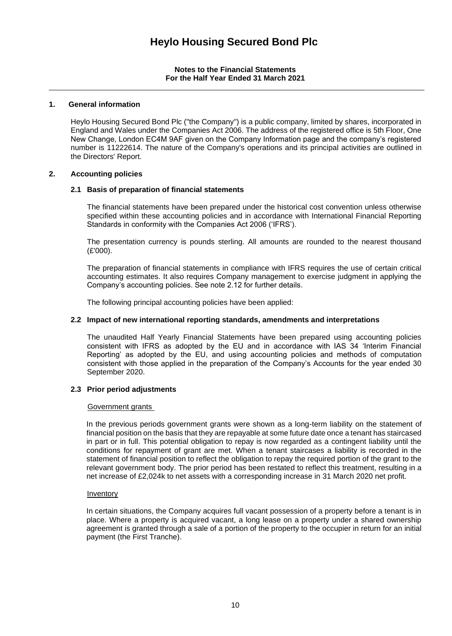# **1. General information**

Heylo Housing Secured Bond Plc ("the Company") is a public company, limited by shares, incorporated in England and Wales under the Companies Act 2006. The address of the registered office is 5th Floor, One New Change, London EC4M 9AF given on the Company Information page and the company's registered number is 11222614. The nature of the Company's operations and its principal activities are outlined in the Directors' Report.

# **2. Accounting policies**

# **2.1 Basis of preparation of financial statements**

The financial statements have been prepared under the historical cost convention unless otherwise specified within these accounting policies and in accordance with International Financial Reporting Standards in conformity with the Companies Act 2006 ('IFRS').

The presentation currency is pounds sterling. All amounts are rounded to the nearest thousand  $(E'000)$ .

The preparation of financial statements in compliance with IFRS requires the use of certain critical accounting estimates. It also requires Company management to exercise judgment in applying the Company's accounting policies. See note 2.12 for further details.

The following principal accounting policies have been applied:

# **2.2 Impact of new international reporting standards, amendments and interpretations**

The unaudited Half Yearly Financial Statements have been prepared using accounting policies consistent with IFRS as adopted by the EU and in accordance with IAS 34 'Interim Financial Reporting' as adopted by the EU, and using accounting policies and methods of computation consistent with those applied in the preparation of the Company's Accounts for the year ended 30 September 2020.

# **2.3 Prior period adjustments**

### Government grants

In the previous periods government grants were shown as a long-term liability on the statement of financial position on the basis that they are repayable at some future date once a tenant has staircased in part or in full. This potential obligation to repay is now regarded as a contingent liability until the conditions for repayment of grant are met. When a tenant staircases a liability is recorded in the statement of financial position to reflect the obligation to repay the required portion of the grant to the relevant government body. The prior period has been restated to reflect this treatment, resulting in a net increase of £2,024k to net assets with a corresponding increase in 31 March 2020 net profit.

### Inventory

In certain situations, the Company acquires full vacant possession of a property before a tenant is in place. Where a property is acquired vacant, a long lease on a property under a shared ownership agreement is granted through a sale of a portion of the property to the occupier in return for an initial payment (the First Tranche).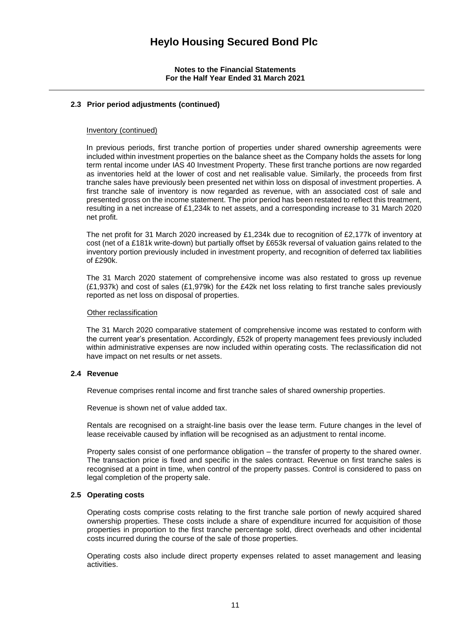# **2.3 Prior period adjustments (continued)**

#### Inventory (continued)

In previous periods, first tranche portion of properties under shared ownership agreements were included within investment properties on the balance sheet as the Company holds the assets for long term rental income under IAS 40 Investment Property. These first tranche portions are now regarded as inventories held at the lower of cost and net realisable value. Similarly, the proceeds from first tranche sales have previously been presented net within loss on disposal of investment properties. A first tranche sale of inventory is now regarded as revenue, with an associated cost of sale and presented gross on the income statement. The prior period has been restated to reflect this treatment, resulting in a net increase of £1,234k to net assets, and a corresponding increase to 31 March 2020 net profit.

The net profit for 31 March 2020 increased by £1,234k due to recognition of £2,177k of inventory at cost (net of a £181k write-down) but partially offset by £653k reversal of valuation gains related to the inventory portion previously included in investment property, and recognition of deferred tax liabilities of £290k.

The 31 March 2020 statement of comprehensive income was also restated to gross up revenue (£1,937k) and cost of sales (£1,979k) for the £42k net loss relating to first tranche sales previously reported as net loss on disposal of properties.

#### Other reclassification

The 31 March 2020 comparative statement of comprehensive income was restated to conform with the current year's presentation. Accordingly, £52k of property management fees previously included within administrative expenses are now included within operating costs. The reclassification did not have impact on net results or net assets.

# **2.4 Revenue**

Revenue comprises rental income and first tranche sales of shared ownership properties.

Revenue is shown net of value added tax.

Rentals are recognised on a straight-line basis over the lease term. Future changes in the level of lease receivable caused by inflation will be recognised as an adjustment to rental income.

Property sales consist of one performance obligation – the transfer of property to the shared owner. The transaction price is fixed and specific in the sales contract. Revenue on first tranche sales is recognised at a point in time, when control of the property passes. Control is considered to pass on legal completion of the property sale.

## **2.5 Operating costs**

Operating costs comprise costs relating to the first tranche sale portion of newly acquired shared ownership properties. These costs include a share of expenditure incurred for acquisition of those properties in proportion to the first tranche percentage sold, direct overheads and other incidental costs incurred during the course of the sale of those properties.

Operating costs also include direct property expenses related to asset management and leasing activities.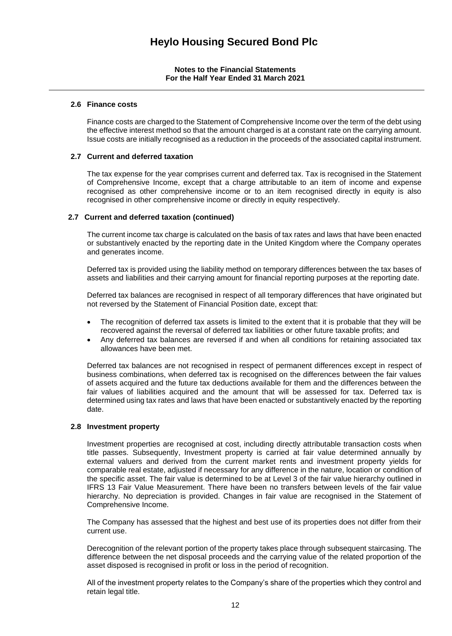# **2.6 Finance costs**

Finance costs are charged to the Statement of Comprehensive Income over the term of the debt using the effective interest method so that the amount charged is at a constant rate on the carrying amount. Issue costs are initially recognised as a reduction in the proceeds of the associated capital instrument.

# **2.7 Current and deferred taxation**

The tax expense for the year comprises current and deferred tax. Tax is recognised in the Statement of Comprehensive Income, except that a charge attributable to an item of income and expense recognised as other comprehensive income or to an item recognised directly in equity is also recognised in other comprehensive income or directly in equity respectively.

# **2.7 Current and deferred taxation (continued)**

The current income tax charge is calculated on the basis of tax rates and laws that have been enacted or substantively enacted by the reporting date in the United Kingdom where the Company operates and generates income.

Deferred tax is provided using the liability method on temporary differences between the tax bases of assets and liabilities and their carrying amount for financial reporting purposes at the reporting date.

Deferred tax balances are recognised in respect of all temporary differences that have originated but not reversed by the Statement of Financial Position date, except that:

- The recognition of deferred tax assets is limited to the extent that it is probable that they will be recovered against the reversal of deferred tax liabilities or other future taxable profits; and
- Any deferred tax balances are reversed if and when all conditions for retaining associated tax allowances have been met.

Deferred tax balances are not recognised in respect of permanent differences except in respect of business combinations, when deferred tax is recognised on the differences between the fair values of assets acquired and the future tax deductions available for them and the differences between the fair values of liabilities acquired and the amount that will be assessed for tax. Deferred tax is determined using tax rates and laws that have been enacted or substantively enacted by the reporting date.

### **2.8 Investment property**

Investment properties are recognised at cost, including directly attributable transaction costs when title passes. Subsequently, Investment property is carried at fair value determined annually by external valuers and derived from the current market rents and investment property yields for comparable real estate, adjusted if necessary for any difference in the nature, location or condition of the specific asset. The fair value is determined to be at Level 3 of the fair value hierarchy outlined in IFRS 13 Fair Value Measurement. There have been no transfers between levels of the fair value hierarchy. No depreciation is provided. Changes in fair value are recognised in the Statement of Comprehensive Income.

The Company has assessed that the highest and best use of its properties does not differ from their current use.

Derecognition of the relevant portion of the property takes place through subsequent staircasing. The difference between the net disposal proceeds and the carrying value of the related proportion of the asset disposed is recognised in profit or loss in the period of recognition.

All of the investment property relates to the Company's share of the properties which they control and retain legal title.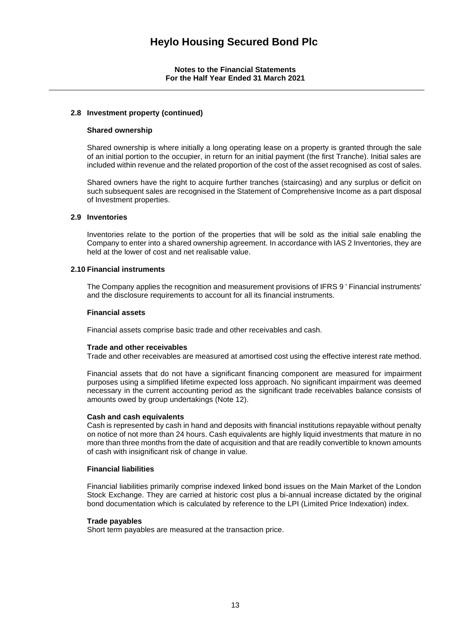# **2.8 Investment property (continued)**

### **Shared ownership**

Shared ownership is where initially a long operating lease on a property is granted through the sale of an initial portion to the occupier, in return for an initial payment (the first Tranche). Initial sales are included within revenue and the related proportion of the cost of the asset recognised as cost of sales.

Shared owners have the right to acquire further tranches (staircasing) and any surplus or deficit on such subsequent sales are recognised in the Statement of Comprehensive Income as a part disposal of Investment properties.

### **2.9 Inventories**

Inventories relate to the portion of the properties that will be sold as the initial sale enabling the Company to enter into a shared ownership agreement. In accordance with IAS 2 Inventories, they are held at the lower of cost and net realisable value.

### **2.10 Financial instruments**

The Company applies the recognition and measurement provisions of IFRS 9 ' Financial instruments' and the disclosure requirements to account for all its financial instruments.

#### **Financial assets**

Financial assets comprise basic trade and other receivables and cash.

### **Trade and other receivables**

Trade and other receivables are measured at amortised cost using the effective interest rate method.

Financial assets that do not have a significant financing component are measured for impairment purposes using a simplified lifetime expected loss approach. No significant impairment was deemed necessary in the current accounting period as the significant trade receivables balance consists of amounts owed by group undertakings (Note 12).

### **Cash and cash equivalents**

Cash is represented by cash in hand and deposits with financial institutions repayable without penalty on notice of not more than 24 hours. Cash equivalents are highly liquid investments that mature in no more than three months from the date of acquisition and that are readily convertible to known amounts of cash with insignificant risk of change in value.

### **Financial liabilities**

Financial liabilities primarily comprise indexed linked bond issues on the Main Market of the London Stock Exchange. They are carried at historic cost plus a bi-annual increase dictated by the original bond documentation which is calculated by reference to the LPI (Limited Price Indexation) index.

### **Trade payables**

Short term payables are measured at the transaction price.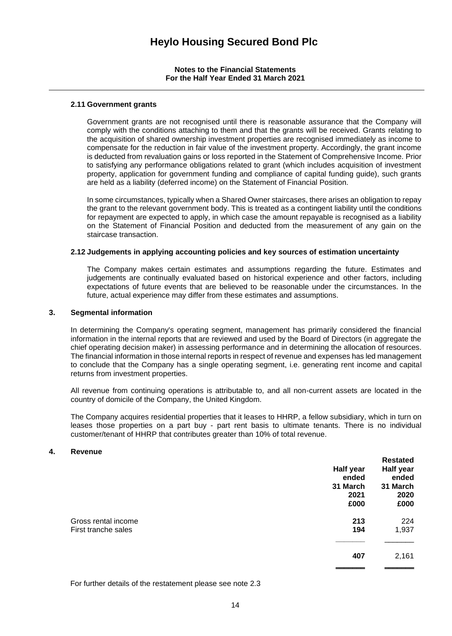#### **2.11 Government grants**

Government grants are not recognised until there is reasonable assurance that the Company will comply with the conditions attaching to them and that the grants will be received. Grants relating to the acquisition of shared ownership investment properties are recognised immediately as income to compensate for the reduction in fair value of the investment property. Accordingly, the grant income is deducted from revaluation gains or loss reported in the Statement of Comprehensive Income. Prior to satisfying any performance obligations related to grant (which includes acquisition of investment property, application for government funding and compliance of capital funding guide), such grants are held as a liability (deferred income) on the Statement of Financial Position.

In some circumstances, typically when a Shared Owner staircases, there arises an obligation to repay the grant to the relevant government body. This is treated as a contingent liability until the conditions for repayment are expected to apply, in which case the amount repayable is recognised as a liability on the Statement of Financial Position and deducted from the measurement of any gain on the staircase transaction.

#### **2.12 Judgements in applying accounting policies and key sources of estimation uncertainty**

The Company makes certain estimates and assumptions regarding the future. Estimates and judgements are continually evaluated based on historical experience and other factors, including expectations of future events that are believed to be reasonable under the circumstances. In the future, actual experience may differ from these estimates and assumptions.

#### **3. Segmental information**

In determining the Company's operating segment, management has primarily considered the financial information in the internal reports that are reviewed and used by the Board of Directors (in aggregate the chief operating decision maker) in assessing performance and in determining the allocation of resources. The financial information in those internal reports in respect of revenue and expenses has led management to conclude that the Company has a single operating segment, i.e. generating rent income and capital returns from investment properties.

All revenue from continuing operations is attributable to, and all non-current assets are located in the country of domicile of the Company, the United Kingdom.

The Company acquires residential properties that it leases to HHRP, a fellow subsidiary, which in turn on leases those properties on a part buy - part rent basis to ultimate tenants. There is no individual customer/tenant of HHRP that contributes greater than 10% of total revenue.

#### **4. Revenue**

|                                            | Half year<br>ended<br>31 March<br>2021<br>£000 | <b>Restated</b><br>Half year<br>ended<br>31 March<br>2020<br>£000 |
|--------------------------------------------|------------------------------------------------|-------------------------------------------------------------------|
| Gross rental income<br>First tranche sales | 213<br>194                                     | 224<br>1,937                                                      |
|                                            | 407                                            | 2,161                                                             |

For further details of the restatement please see note 2.3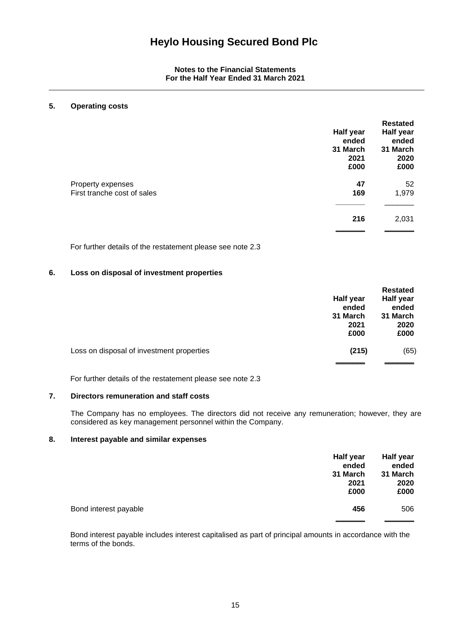# **5. Operating costs**

|                                                  | <b>Half year</b><br>ended<br>31 March<br>2021<br>£000 | <b>Restated</b><br>Half year<br>ended<br>31 March<br>2020<br>£000 |
|--------------------------------------------------|-------------------------------------------------------|-------------------------------------------------------------------|
| Property expenses<br>First tranche cost of sales | 47<br>169                                             | 52<br>1,979                                                       |
|                                                  | 216                                                   | 2,031                                                             |

For further details of the restatement please see note 2.3

# **6. Loss on disposal of investment properties**

|                                           |           | <b>Restated</b>  |
|-------------------------------------------|-----------|------------------|
|                                           | Half year | <b>Half year</b> |
|                                           | ended     | ended            |
|                                           | 31 March  | 31 March         |
|                                           | 2021      | 2020             |
|                                           | £000      | £000             |
| Loss on disposal of investment properties | (215)     | (65)             |
|                                           |           |                  |

For further details of the restatement please see note 2.3

# **7. Directors remuneration and staff costs**

The Company has no employees. The directors did not receive any remuneration; however, they are considered as key management personnel within the Company.

# **8. Interest payable and similar expenses**

|                       | <b>Half year</b><br>ended<br>31 March<br>2021<br>£000 | <b>Half year</b><br>ended<br>31 March<br>2020<br>£000 |
|-----------------------|-------------------------------------------------------|-------------------------------------------------------|
| Bond interest payable | 456                                                   | 506                                                   |
|                       |                                                       |                                                       |

Bond interest payable includes interest capitalised as part of principal amounts in accordance with the terms of the bonds.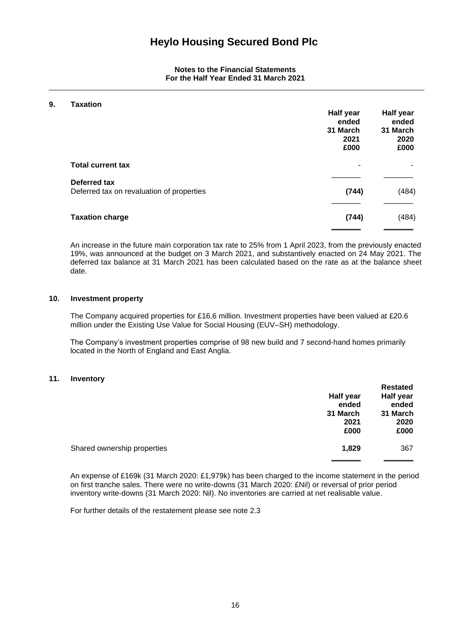## **9. Taxation**

| ι αλαιινιι                                                | Half year<br>ended<br>31 March<br>2021<br>£000 | Half year<br>ended<br>31 March<br>2020<br>£000 |
|-----------------------------------------------------------|------------------------------------------------|------------------------------------------------|
| <b>Total current tax</b>                                  | ٠                                              |                                                |
| Deferred tax<br>Deferred tax on revaluation of properties | (744)                                          | (484)                                          |
| <b>Taxation charge</b>                                    | (744)                                          | (484)                                          |

An increase in the future main corporation tax rate to 25% from 1 April 2023, from the previously enacted 19%, was announced at the budget on 3 March 2021, and substantively enacted on 24 May 2021. The deferred tax balance at 31 March 2021 has been calculated based on the rate as at the balance sheet date.

#### **10. Investment property**

The Company acquired properties for £16.6 million. Investment properties have been valued at £20.6 million under the Existing Use Value for Social Housing (EUV–SH) methodology.

The Company's investment properties comprise of 98 new build and 7 second-hand homes primarily located in the North of England and East Anglia.

### **11. Inventory**

|                             | Half year<br>ended       | <b>Restated</b><br>Half year<br>ended |
|-----------------------------|--------------------------|---------------------------------------|
|                             | 31 March<br>2021<br>£000 | 31 March<br>2020<br>£000              |
| Shared ownership properties | 1,829                    | 367                                   |

An expense of £169k (31 March 2020: £1,979k) has been charged to the income statement in the period on first tranche sales. There were no write-downs (31 March 2020: £Nil) or reversal of prior period inventory write-downs (31 March 2020: Nil). No inventories are carried at net realisable value.

For further details of the restatement please see note 2.3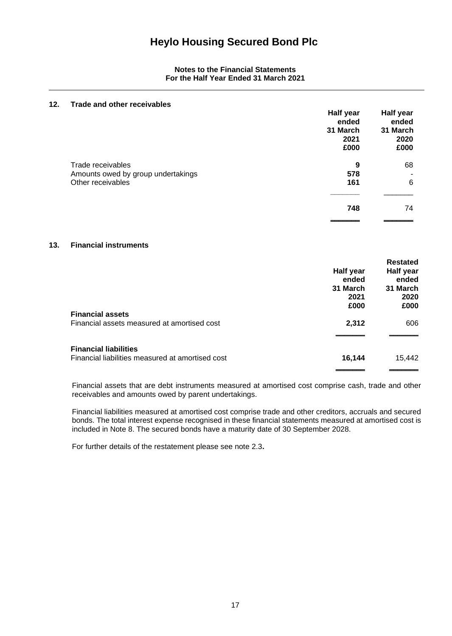# **12. Trade and other receivables Half year Half year ended ended 31 March 31 March 2021 2020 £000 £000** Trade receivables **9** 68 Amounts owed by group undertakings **578**  $\overline{\phantom{0}}$ Other receivables **161** 6 **\_\_\_\_\_\_\_** \_\_\_\_\_\_\_ **748** 74  $\qquad \qquad$

# **13. Financial instruments**

| <b>Financial assets</b>                                                          | Half year<br>ended<br>31 March<br>2021<br>£000 | <b>Restated</b><br>Half year<br>ended<br>31 March<br>2020<br>£000 |
|----------------------------------------------------------------------------------|------------------------------------------------|-------------------------------------------------------------------|
| Financial assets measured at amortised cost                                      | 2,312                                          | 606                                                               |
| <b>Financial liabilities</b><br>Financial liabilities measured at amortised cost | 16,144                                         | 15,442                                                            |

Financial assets that are debt instruments measured at amortised cost comprise cash, trade and other receivables and amounts owed by parent undertakings.

Financial liabilities measured at amortised cost comprise trade and other creditors, accruals and secured bonds. The total interest expense recognised in these financial statements measured at amortised cost is included in Note 8. The secured bonds have a maturity date of 30 September 2028.

For further details of the restatement please see note 2.3**.**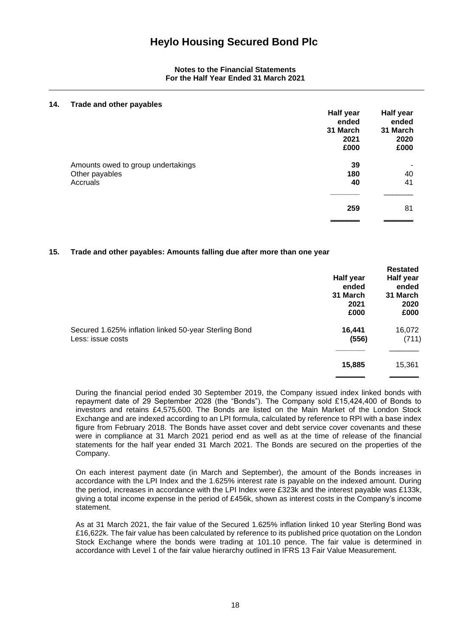| 14. | Trade and other payables           |           |                  |
|-----|------------------------------------|-----------|------------------|
|     |                                    | Half year | <b>Half year</b> |
|     |                                    | ended     | ended            |
|     |                                    | 31 March  | 31 March         |
|     |                                    | 2021      | 2020             |
|     |                                    | £000      | £000             |
|     | Amounts owed to group undertakings | 39        |                  |
|     | Other payables                     | 180       | 40               |
|     | Accruals                           | 40        | 41               |
|     |                                    |           |                  |
|     |                                    | 259       | 81               |
|     |                                    |           |                  |

# **15. Trade and other payables: Amounts falling due after more than one year**

|                                                                            | Half year<br>ended<br>31 March<br>2021<br>£000 | <b>Restated</b><br>Half year<br>ended<br>31 March<br>2020<br>£000 |
|----------------------------------------------------------------------------|------------------------------------------------|-------------------------------------------------------------------|
| Secured 1.625% inflation linked 50-year Sterling Bond<br>Less: issue costs | 16,441<br>(556)                                | 16,072<br>(711)                                                   |
|                                                                            | 15,885                                         | 15,361                                                            |

During the financial period ended 30 September 2019, the Company issued index linked bonds with repayment date of 29 September 2028 (the "Bonds"). The Company sold £15,424,400 of Bonds to investors and retains £4,575,600. The Bonds are listed on the Main Market of the London Stock Exchange and are indexed according to an LPI formula, calculated by reference to RPI with a base index figure from February 2018. The Bonds have asset cover and debt service cover covenants and these were in compliance at 31 March 2021 period end as well as at the time of release of the financial statements for the half year ended 31 March 2021. The Bonds are secured on the properties of the Company.

On each interest payment date (in March and September), the amount of the Bonds increases in accordance with the LPI Index and the 1.625% interest rate is payable on the indexed amount. During the period, increases in accordance with the LPI Index were £323k and the interest payable was £133k, giving a total income expense in the period of £456k, shown as interest costs in the Company's income statement.

As at 31 March 2021, the fair value of the Secured 1.625% inflation linked 10 year Sterling Bond was £16,622k. The fair value has been calculated by reference to its published price quotation on the London Stock Exchange where the bonds were trading at 101.10 pence. The fair value is determined in accordance with Level 1 of the fair value hierarchy outlined in IFRS 13 Fair Value Measurement.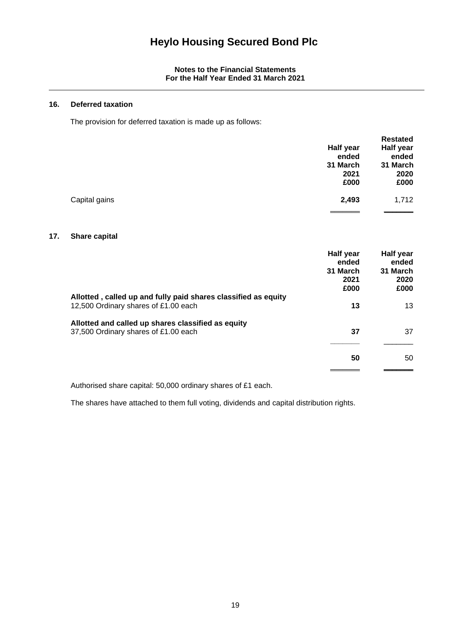#### **16. Deferred taxation**

The provision for deferred taxation is made up as follows:

|               |           | <b>Restated</b>  |
|---------------|-----------|------------------|
|               | Half year | <b>Half year</b> |
|               | ended     | ended            |
|               | 31 March  | 31 March         |
|               | 2021      | 2020             |
|               | £000      | £000             |
| Capital gains | 2,493     | 1,712            |
|               |           |                  |

# **17. Share capital**

|                                                                                                        | Half year<br>ended<br>31 March<br>2021<br>£000 | Half year<br>ended<br>31 March<br>2020<br>£000 |
|--------------------------------------------------------------------------------------------------------|------------------------------------------------|------------------------------------------------|
| Allotted, called up and fully paid shares classified as equity<br>12,500 Ordinary shares of £1.00 each | 13                                             | 13                                             |
| Allotted and called up shares classified as equity<br>37,500 Ordinary shares of £1.00 each             | 37                                             | 37                                             |
|                                                                                                        | 50                                             | 50                                             |

Authorised share capital: 50,000 ordinary shares of £1 each.

The shares have attached to them full voting, dividends and capital distribution rights.